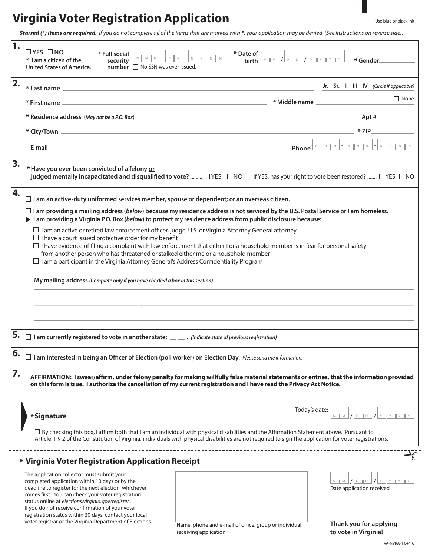## **Virginia Voter Registration Application**

*Starred (\*) items are required. If you do not complete all of the items that are marked with \*, your application may be denied (See instructions on reverse side).*

|         | $\Box$ YES $\Box$ NO<br>* Full social<br>* I am a citizen of the<br>security<br>number □ No SSN was ever issued.<br><b>United States of America.</b>                                                                                                                                                                                                          | * Date of $\left[\begin{array}{c c} \mathbf{M} & \mathbf{M} & \mathbf{M} & \mathbf{M} & \mathbf{M} & \mathbf{M} & \mathbf{M} & \mathbf{M} & \mathbf{M} & \mathbf{M} & \mathbf{M} & \mathbf{M} & \mathbf{M} & \mathbf{M} & \mathbf{M} & \mathbf{M} & \mathbf{M} & \mathbf{M} & \mathbf{M} & \mathbf{M} & \mathbf{M} & \mathbf{M} & \mathbf{M} & \mathbf{M} & \mathbf{M} & \mathbf{M} & \mathbf{M} & \mathbf{M} & \mathbf$<br>N N N - N N - N N N N N | * Gender_                                        |
|---------|---------------------------------------------------------------------------------------------------------------------------------------------------------------------------------------------------------------------------------------------------------------------------------------------------------------------------------------------------------------|-----------------------------------------------------------------------------------------------------------------------------------------------------------------------------------------------------------------------------------------------------------------------------------------------------------------------------------------------------------------------------------------------------------------------------------------------------|--------------------------------------------------|
| 2.      |                                                                                                                                                                                                                                                                                                                                                               |                                                                                                                                                                                                                                                                                                                                                                                                                                                     |                                                  |
|         |                                                                                                                                                                                                                                                                                                                                                               |                                                                                                                                                                                                                                                                                                                                                                                                                                                     | $\Box$ None                                      |
|         |                                                                                                                                                                                                                                                                                                                                                               |                                                                                                                                                                                                                                                                                                                                                                                                                                                     |                                                  |
|         |                                                                                                                                                                                                                                                                                                                                                               |                                                                                                                                                                                                                                                                                                                                                                                                                                                     |                                                  |
|         |                                                                                                                                                                                                                                                                                                                                                               |                                                                                                                                                                                                                                                                                                                                                                                                                                                     |                                                  |
| 3.      | * Have you ever been convicted of a felony or<br>judged mentally incapacitated and disqualified to vote?  [YES   ONO   If YES, has your right to vote been restored?  [YES   ONO                                                                                                                                                                              |                                                                                                                                                                                                                                                                                                                                                                                                                                                     |                                                  |
| 4.      | $\Box$ I am an active-duty uniformed services member, spouse or dependent; or an overseas citizen.<br>$\Box$ I am providing a mailing address (below) because my residence address is not serviced by the U.S. Postal Service or I am homeless.<br>I am providing a Virginia P.O. Box (below) to protect my residence address from public disclosure because: |                                                                                                                                                                                                                                                                                                                                                                                                                                                     |                                                  |
|         |                                                                                                                                                                                                                                                                                                                                                               |                                                                                                                                                                                                                                                                                                                                                                                                                                                     |                                                  |
|         | $\Box$ I am an active <u>or</u> retired law enforcement officer, judge, U.S. or Virginia Attorney General attorney                                                                                                                                                                                                                                            |                                                                                                                                                                                                                                                                                                                                                                                                                                                     |                                                  |
|         | $\Box$ I have a court issued protective order for my benefit<br>$\Box$ I have evidence of filing a complaint with law enforcement that either I or a household member is in fear for personal safety                                                                                                                                                          |                                                                                                                                                                                                                                                                                                                                                                                                                                                     |                                                  |
|         | from another person who has threatened or stalked either me or a household member<br>$\Box$ I am a participant in the Virginia Attorney General's Address Confidentiality Program                                                                                                                                                                             |                                                                                                                                                                                                                                                                                                                                                                                                                                                     |                                                  |
|         | My mailing address (Complete only if you have checked a box in this section)                                                                                                                                                                                                                                                                                  |                                                                                                                                                                                                                                                                                                                                                                                                                                                     |                                                  |
|         |                                                                                                                                                                                                                                                                                                                                                               |                                                                                                                                                                                                                                                                                                                                                                                                                                                     |                                                  |
|         |                                                                                                                                                                                                                                                                                                                                                               |                                                                                                                                                                                                                                                                                                                                                                                                                                                     |                                                  |
|         |                                                                                                                                                                                                                                                                                                                                                               |                                                                                                                                                                                                                                                                                                                                                                                                                                                     |                                                  |
|         | $\Box$ I am currently registered to vote in another state: $\Box$ . (Indicate state of previous registration)                                                                                                                                                                                                                                                 |                                                                                                                                                                                                                                                                                                                                                                                                                                                     |                                                  |
| c<br>υ. | $\Box$ I am interested in being an Officer of Election (poll worker) on Election Day. Please send me information.                                                                                                                                                                                                                                             |                                                                                                                                                                                                                                                                                                                                                                                                                                                     |                                                  |
| 7.      | AFFIRMATION: I swear/affirm, under felony penalty for making willfully false material statements or entries, that the information provided<br>on this form is true. I authorize the cancellation of my current registration and I have read the Privacy Act Notice.                                                                                           |                                                                                                                                                                                                                                                                                                                                                                                                                                                     |                                                  |
|         |                                                                                                                                                                                                                                                                                                                                                               |                                                                                                                                                                                                                                                                                                                                                                                                                                                     |                                                  |
|         | <u> 1980 - Johann Barbara, martxa alemaniar arg</u><br>*Signature _                                                                                                                                                                                                                                                                                           |                                                                                                                                                                                                                                                                                                                                                                                                                                                     | Today's date: $\Big \text{MIN}\Big /\Big $       |
|         | $\Box$ By checking this box, I affirm both that I am an individual with physical disabilities and the Affirmation Statement above. Pursuant to<br>Article II, § 2 of the Constitution of Virginia, individuals with physical disabilities are not required to sign the application for voter registrations.                                                   |                                                                                                                                                                                                                                                                                                                                                                                                                                                     |                                                  |
|         | * Virginia Voter Registration Application Receipt                                                                                                                                                                                                                                                                                                             |                                                                                                                                                                                                                                                                                                                                                                                                                                                     |                                                  |
|         | The application collector must submit your                                                                                                                                                                                                                                                                                                                    |                                                                                                                                                                                                                                                                                                                                                                                                                                                     |                                                  |
|         | completed application within 10 days or by the<br>deadline to register for the next election, whichever                                                                                                                                                                                                                                                       |                                                                                                                                                                                                                                                                                                                                                                                                                                                     | $M$ $M$ $J$ $D$ $D$<br>Date application received |
|         | comes first. You can check your voter registration<br>status online at elections.virginia.gov/register.                                                                                                                                                                                                                                                       |                                                                                                                                                                                                                                                                                                                                                                                                                                                     |                                                  |
|         | If you do not receive confirmation of your voter<br>registration status within 30 days, contact your local                                                                                                                                                                                                                                                    |                                                                                                                                                                                                                                                                                                                                                                                                                                                     |                                                  |
|         | voter registrar or the Virginia Department of Elections.                                                                                                                                                                                                                                                                                                      | Name, phone and e-mail of office, group or individual                                                                                                                                                                                                                                                                                                                                                                                               | Thank you for applying                           |
|         |                                                                                                                                                                                                                                                                                                                                                               | receiving application                                                                                                                                                                                                                                                                                                                                                                                                                               | to vote in Virginia!                             |

VA-NVRA-1 04/16